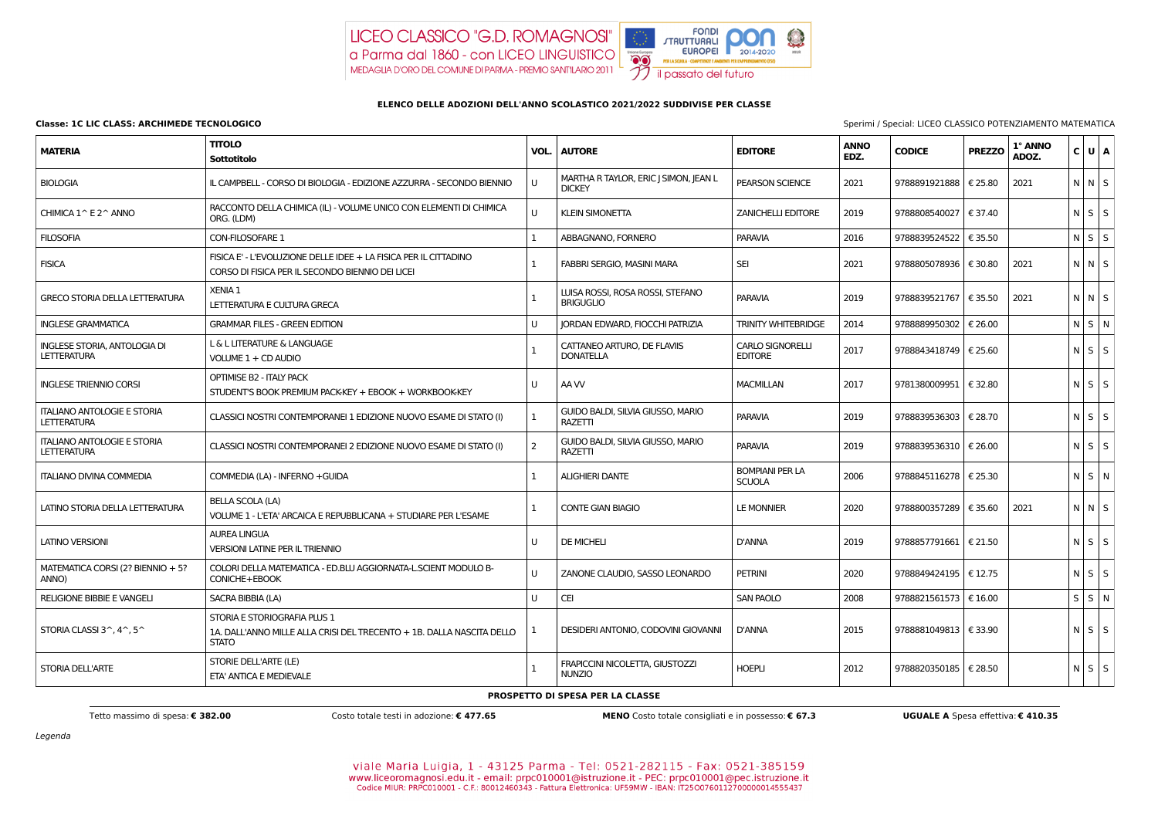Legenda

viale Maria Luigia, 1 - 43125 Parma - Tel: 0521-282115 - Fax: 0521-385159 www.liceoromagnosi.edu.it - email: prpc010001@istruzione.it - PEC: prpc010001@pec.istruzione.it<br>Codice MIUR: PRPC010001 - C.F.: 80012460343 - Fattura Elettronica: UF59MW - IBAN: IT2500760112700000014555437

**Classe: 1C LIC CLASS: ARCHIMEDE TECNOLOGICO** Sperimi / Special: LICEO CLASSICO POTENZIAMENTO MATEMATICA

# LICEO CLASSICO "G.D. ROMAGNOSI" a Parma dal 1860 - con LICEO LINGUISTICO MEDAGLIA D'ORO DEL COMUNE DI PARMA - PREMIO SANTILARIO 2011



### **ELENCO DELLE ADOZIONI DELL'ANNO SCOLASTICO 2021/2022 SUDDIVISE PER CLASSE**

| <b>MATERIA</b>                                           | <b>TITOLO</b><br>Sottotitolo                                                                                          | VOL.           | <b>AUTORE</b>                                          | <b>EDITORE</b>                            | <b>ANNO</b><br>EDZ. | <b>CODICE</b>           | <b>PREZZO</b> | 1° ANNO<br>ADOZ. | C U A             |             |
|----------------------------------------------------------|-----------------------------------------------------------------------------------------------------------------------|----------------|--------------------------------------------------------|-------------------------------------------|---------------------|-------------------------|---------------|------------------|-------------------|-------------|
| <b>BIOLOGIA</b>                                          | IL CAMPBELL - CORSO DI BIOLOGIA - EDIZIONE AZZURRA - SECONDO BIENNIO                                                  | $\cup$         | MARTHA R TAYLOR, ERIC J SIMON, JEAN L<br><b>DICKEY</b> | PEARSON SCIENCE                           | 2021                | 9788891921888   € 25.80 |               | 2021             | $N$ $N$ $S$       |             |
| CHIMICA 1^ E 2^ ANNO                                     | RACCONTO DELLA CHIMICA (IL) - VOLUME UNICO CON ELEMENTI DI CHIMICA<br>ORG. (LDM)                                      | $\cup$         | <b>KLEIN SIMONETTA</b>                                 | <b>ZANICHELLI EDITORE</b>                 | 2019                | 9788808540027   € 37.40 |               |                  |                   | $N$ $S$ $S$ |
| <b>FILOSOFIA</b>                                         | CON-FILOSOFARE 1                                                                                                      |                | ABBAGNANO, FORNERO                                     | <b>PARAVIA</b>                            | 2016                | 9788839524522           | € 35.50       |                  |                   | $N$ $S$ $S$ |
| <b>FISICA</b>                                            | FISICA E' - L'EVOLUZIONE DELLE IDEE + LA FISICA PER IL CITTADINO<br>CORSO DI FISICA PER IL SECONDO BIENNIO DEI LICEI  |                | FABBRI SERGIO, MASINI MARA                             | <b>SEI</b>                                | 2021                | 9788805078936   € 30.80 |               | 2021             | $N$ $N$ $S$       |             |
| <b>GRECO STORIA DELLA LETTERATURA</b>                    | XENIA 1<br>LETTERATURA E CULTURA GRECA                                                                                |                | LUISA ROSSI, ROSA ROSSI, STEFANO<br><b>BRIGUGLIO</b>   | <b>PARAVIA</b>                            | 2019                | 9788839521767           | € 35.50       | 2021             | $N$ $N$ $S$       |             |
| <b>INGLESE GRAMMATICA</b>                                | <b>GRAMMAR FILES - GREEN EDITION</b>                                                                                  | $\cup$         | <b>JORDAN EDWARD, FIOCCHI PATRIZIA</b>                 | <b>TRINITY WHITEBRIDGE</b>                | 2014                | 9788889950302           | € 26.00       |                  |                   | N S N       |
| INGLESE STORIA, ANTOLOGIA DI<br><b>LETTERATURA</b>       | L & L LITERATURE & LANGUAGE<br>VOLUME 1 + CD AUDIO                                                                    |                | CATTANEO ARTURO, DE FLAVIIS<br><b>DONATELLA</b>        | <b>CARLO SIGNORELLI</b><br><b>EDITORE</b> | 2017                | 9788843418749   € 25.60 |               |                  |                   | $N$ $S$ $S$ |
| <b>INGLESE TRIENNIO CORSI</b>                            | <b>OPTIMISE B2 - ITALY PACK</b><br>STUDENT'S BOOK PREMIUM PACK-KEY + EBOOK + WORKBOOK-KEY                             | U              | AA W                                                   | <b>MACMILLAN</b>                          | 2017                | 9781380009951           | € 32.80       |                  |                   | $N$ $S$ $S$ |
| <b>ITALIANO ANTOLOGIE E STORIA</b><br><b>LETTERATURA</b> | CLASSICI NOSTRI CONTEMPORANEI 1 EDIZIONE NUOVO ESAME DI STATO (I)                                                     |                | GUIDO BALDI, SILVIA GIUSSO, MARIO<br>RAZETTI           | <b>PARAVIA</b>                            | 2019                | 9788839536303   € 28.70 |               |                  | $N$ $S$ $S$       |             |
| <b>ITALIANO ANTOLOGIE E STORIA</b><br><b>LETTERATURA</b> | CLASSICI NOSTRI CONTEMPORANEI 2 EDIZIONE NUOVO ESAME DI STATO (I)                                                     | $\overline{2}$ | GUIDO BALDI, SILVIA GIUSSO, MARIO<br><b>RAZETTI</b>    | <b>PARAVIA</b>                            | 2019                | 9788839536310   € 26.00 |               |                  | $N \mid S \mid S$ |             |
| <b>ITALIANO DIVINA COMMEDIA</b>                          | COMMEDIA (LA) - INFERNO + GUIDA                                                                                       |                | <b>ALIGHIERI DANTE</b>                                 | <b>BOMPIANI PER LA</b><br><b>SCUOLA</b>   | 2006                | 9788845116278   € 25.30 |               |                  |                   | N S N       |
| LATINO STORIA DELLA LETTERATURA                          | <b>BELLA SCOLA (LA)</b><br>VOLUME 1 - L'ETA' ARCAICA E REPUBBLICANA + STUDIARE PER L'ESAME                            |                | <b>CONTE GIAN BIAGIO</b>                               | <b>LE MONNIER</b>                         | 2020                | 9788800357289           | € 35.60       | 2021             |                   | N N S       |
| <b>LATINO VERSIONI</b>                                   | <b>AUREA LINGUA</b><br><b>VERSIONI LATINE PER IL TRIENNIO</b>                                                         | $\cup$         | <b>DE MICHELI</b>                                      | D'ANNA                                    | 2019                | 9788857791661   € 21.50 |               |                  | $N$ $S$ $S$       |             |
| MATEMATICA CORSI (2? BIENNIO + 5?<br>ANNO)               | COLORI DELLA MATEMATICA - ED.BLU AGGIORNATA-L.SCIENT MODULO B-<br>CONICHE+EBOOK                                       | U              | ZANONE CLAUDIO, SASSO LEONARDO                         | <b>PETRINI</b>                            | 2020                | 9788849424195   € 12.75 |               |                  |                   | N S S       |
| <b>RELIGIONE BIBBIE E VANGELI</b>                        | SACRA BIBBIA (LA)                                                                                                     | U              | <b>CEI</b>                                             | SAN PAOLO                                 | 2008                | 9788821561573   € 16.00 |               |                  |                   | S S N       |
| STORIA CLASSI $3^{\wedge}$ , $4^{\wedge}$ , $5^{\wedge}$ | STORIA E STORIOGRAFIA PLUS 1<br>1A. DALL'ANNO MILLE ALLA CRISI DEL TRECENTO + 1B. DALLA NASCITA DELLO<br><b>STATO</b> |                | DESIDERI ANTONIO, CODOVINI GIOVANNI                    | <b>D'ANNA</b>                             | 2015                | 9788881049813   € 33.90 |               |                  |                   | $N$ $S$ $S$ |
| STORIA DELL'ARTE                                         | STORIE DELL'ARTE (LE)<br>ETA' ANTICA E MEDIEVALE                                                                      |                | FRAPICCINI NICOLETTA, GIUSTOZZI<br><b>NUNZIO</b>       | <b>HOEPLI</b>                             | 2012                | 9788820350185   € 28.50 |               |                  | $N$ $S$ $S$       |             |

### **PROSPETTO DI SPESA PER LA CLASSE**

Tetto massimo di spesa: € 382.00 Costo totale testi in adozione: € 477.65 MENO Costo totale consigliati e in possesso: € 67.3 UGUALE A Spesa effettiva: € 410.35